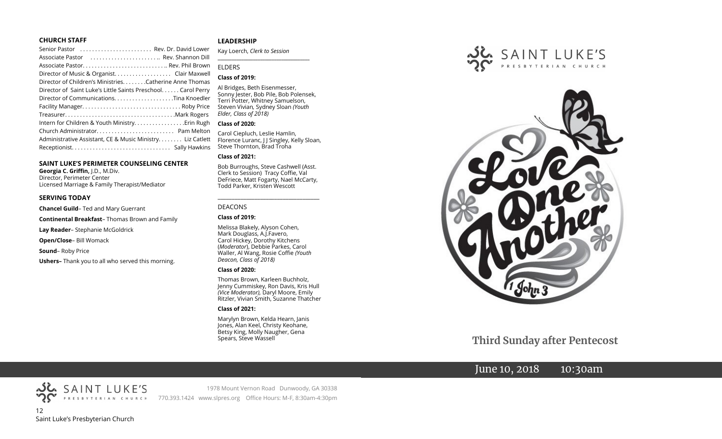#### **CHURCH STAFF**

| Senior Pastor (etc Rev. Dr. David Lower                                                    |  |
|--------------------------------------------------------------------------------------------|--|
| Associate Pastor (Associate Pastor (Associate Pastor (Associate Pastor (Associate Pastor ) |  |
| Associate Pastor Rev. Phil Brown                                                           |  |
| Director of Music & Organist. Clair Maxwell                                                |  |
| Director of Children's Ministries. Catherine Anne Thomas                                   |  |
| Director of Saint Luke's Little Saints Preschool Carol Perry                               |  |
| Director of CommunicationsTina Knoedler                                                    |  |
|                                                                                            |  |
|                                                                                            |  |
| Intern for Children & Youth Ministry Erin Rugh                                             |  |
|                                                                                            |  |
| Administrative Assistant, CE & Music Ministry Liz Catlett                                  |  |
|                                                                                            |  |
|                                                                                            |  |

#### **SAINT LUKE'S PERIMETER COUNSELING CENTER**

**Georgia C. Griffin,** J.D., M.Div. Director, Perimeter Center Licensed Marriage & Family Therapist/Mediator

#### **SERVING TODAY**

**Chancel Guild**– Ted and Mary Guerrant

**Continental Breakfast**– Thomas Brown and Family

**Lay Reader**– Stephanie McGoldrick

**Open/Close**– Bill Womack

**Sound**– Roby Price

**Ushers–** Thank you to all who served this morning.

#### **LEADERSHIP**

Kay Loerch, *Clerk to Session* 

**\_\_\_\_\_\_\_\_\_\_\_\_\_\_\_\_\_\_\_\_\_\_\_\_\_\_\_\_\_\_\_\_\_\_\_\_\_\_\_**

#### ELDERS

#### **Class of 2019:**

Al Bridges, Beth Eisenmesser, Sonny Jester, Bob Pile, Bob Polensek, Terri Potter, Whitney Samuelson, Steven Vivian*,* Sydney Sloan *(Youth Elder, Class of 2018)*

#### **Class of 2020:**

Carol Ciepluch, Leslie Hamlin, Florence Luranc, J J Singley, Kelly Sloan, Steve Thornton, Brad Troha

#### **Class of 2021:**

Bob Burroughs, Steve Cashwell (Asst. Clerk to Session) Tracy Coffie, Val DeFriece, Matt Fogarty, Nael McCarty, Todd Parker, Kristen Wescott

\_\_\_\_\_\_\_\_\_\_\_\_\_\_\_\_\_\_\_\_\_\_\_\_\_\_\_\_\_\_\_\_\_\_\_\_

#### DEACONS

#### **Class of 2019:**

Melissa Blakely, Alyson Cohen, Mark Douglass, A.J.Favero, Carol Hickey, Dorothy Kitchens (*Moderator*), Debbie Parkes, Carol Waller, Al Wang, Rosie Coffie *(Youth Deacon, Class of 2018)* 

#### **Class of 2020:**

Thomas Brown, Karleen Buchholz, Jenny Cummiskey, Ron Davis, Kris Hull *(Vice Moderator),* Daryl Moore, Emily Ritzler, Vivian Smith, Suzanne Thatcher

#### **Class of 2021:**

Marylyn Brown, Kelda Hearn, Janis Jones, Alan Keel, Christy Keohane, Betsy King, Molly Naugher, Gena Spears, Steve Wassell





 **Third Sunday after Pentecost**

## June 10, 2018 10:30am

12 Saint Luke's Presbyterian Church

1978 Mount Vernon Road Dunwoody, GA 30338 770.393.1424 www.slpres.org Office Hours: M-F, 8:30am-4:30pm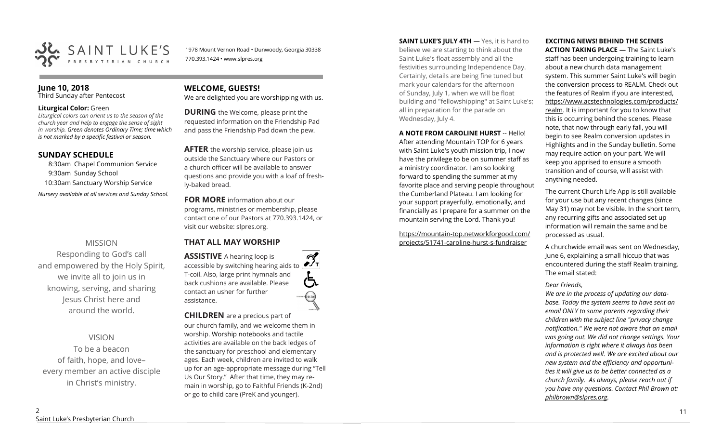

1978 Mount Vernon Road • Dunwoody, Georgia 30338 770.393.1424 • www.slpres.org

#### **June 10, 2018**

Third Sunday after Pentecost

#### **Liturgical Color:** Green

*Liturgical colors can orient us to the season of the church year and help to engage the sense of sight in worship. Green denotes Ordinary Time; time which is not marked by a specific festival or season.*

### **SUNDAY SCHEDULE**

8:30am Chapel Communion Service 9:30am Sunday School 10:30am Sanctuary Worship Service

*Nursery available at all services and Sunday School.* 

## MISSION

Responding to God's call and empowered by the Holy Spirit, we invite all to join us in knowing, serving, and sharing Jesus Christ here and around the world.

#### VISION

To be a beacon of faith, hope, and love– every member an active disciple in Christ's ministry.

## **WELCOME, GUESTS!**

We are delighted you are worshipping with us.

**DURING** the Welcome, please print the requested information on the Friendship Pad and pass the Friendship Pad down the pew.

**AFTER** the worship service, please join us outside the Sanctuary where our Pastors or a church officer will be available to answer questions and provide you with a loaf of freshly-baked bread.

**FOR MORE** information about our programs, ministries or membership, please contact one of our Pastors at 770.393.1424, or visit our website: slpres.org.

## **THAT ALL MAY WORSHIP**

**ASSISTIVE** A hearing loop is  $\mathcal{D}_{\mathrm{r}}$ accessible by switching hearing aids to T-coil. Also, large print hymnals and back cushions are available. Please contact an usher for further assistance.

**CHILDREN** are a precious part of our church family, and we welcome them in worship. Worship notebooks and tactile activities are available on the back ledges of the sanctuary for preschool and elementary ages. Each week, children are invited to walk up for an age-appropriate message during "Tell Us Our Story." After that time, they may remain in worship, go to Faithful Friends (K-2nd) or go to child care (PreK and younger).

**SAINT LUKE'S JULY 4TH** — Yes, it is hard to believe we are starting to think about the Saint Luke's float assembly and all the festivities surrounding Independence Day. Certainly, details are being fine tuned but mark your calendars for the afternoon of Sunday, July 1, when we will be float building and "fellowshipping" at Saint Luke's; all in preparation for the parade on Wednesday, July 4.

**A NOTE FROM CAROLINE HURST** -- Hello! After attending Mountain TOP for 6 years with Saint Luke's youth mission trip, I now have the privilege to be on summer staff as a ministry coordinator. I am so looking forward to spending the summer at my favorite place and serving people throughout the Cumberland Plateau. I am looking for your support prayerfully, emotionally, and financially as I prepare for a summer on the mountain serving the Lord. Thank you!

https://mountain-[top.networkforgood.com/](https://mountain-top.networkforgood.com/projects/51741-caroline-hurst-s-fundraiser) [projects/51741](https://mountain-top.networkforgood.com/projects/51741-caroline-hurst-s-fundraiser)-caroline-hurst-s-fundraiser

#### **EXCITING NEWS! BEHIND THE SCENES ACTION TAKING PLACE** — The Saint Luke's

staff has been undergoing training to learn about a new church data management system. This summer Saint Luke's will begin the conversion process to REALM. Check out the features of Realm if you are interested, https://www.acstechnologies.com/products/ realm. It is important for you to know that this is occurring behind the scenes. Please note, that now through early fall, you will begin to see Realm conversion updates in Highlights and in the Sunday bulletin. Some may require action on your part. We will keep you apprised to ensure a smooth transition and of course, will assist with anything needed.

The current Church Life App is still available for your use but any recent changes (since May 31) may not be visible. In the short term, any recurring gifts and associated set up information will remain the same and be processed as usual.

A churchwide email was sent on Wednesday, June 6, explaining a small hiccup that was encountered during the staff Realm training. The email stated:

#### *Dear Friends,*

*We are in the process of updating our database. Today the system seems to have sent an email ONLY to some parents regarding their children with the subject line "privacy change notification." We were not aware that an email was going out. We did not change settings. Your information is right where it always has been and is protected well. We are excited about our new system and the efficiency and opportunities it will give us to be better connected as a church family. As always, please reach out if you have any questions. Contact Phil Brown at: philbrown@slpres.org.*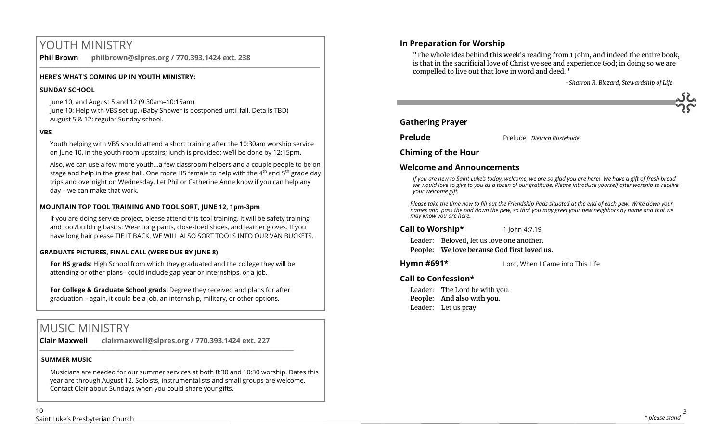# YOUTH MINISTRY

**Phil Brown philbrown@slpres.org / 770.393.1424 ext. 238**   $\_$  ,  $\_$  ,  $\_$  ,  $\_$  ,  $\_$  ,  $\_$  ,  $\_$  ,  $\_$  ,  $\_$  ,  $\_$  ,  $\_$  ,  $\_$  ,  $\_$  ,  $\_$  ,  $\_$  ,  $\_$  ,  $\_$  ,  $\_$  ,  $\_$  ,  $\_$  ,  $\_$  ,  $\_$  ,  $\_$  ,  $\_$  ,  $\_$  ,  $\_$  ,  $\_$  ,  $\_$  ,  $\_$  ,  $\_$  ,  $\_$  ,  $\_$  ,  $\_$  ,  $\_$  ,  $\_$  ,  $\_$  ,  $\_$  ,

## **HERE'S WHAT'S COMING UP IN YOUTH MINISTRY:**

#### **SUNDAY SCHOOL**

June 10, and August 5 and 12 (9:30am–10:15am). June 10: Help with VBS set up. (Baby Shower is postponed until fall. Details TBD) August 5 & 12: regular Sunday school.

#### **VBS**

Youth helping with VBS should attend a short training after the 10:30am worship service on June 10, in the youth room upstairs; lunch is provided; we'll be done by 12:15pm.

Also, we can use a few more youth…a few classroom helpers and a couple people to be on stage and help in the great hall. One more HS female to help with the  $4<sup>th</sup>$  and  $5<sup>th</sup>$  grade day trips and overnight on Wednesday. Let Phil or Catherine Anne know if you can help any day – we can make that work.

#### **MOUNTAIN TOP TOOL TRAINING AND TOOL SORT, JUNE 12, 1pm-3pm**

If you are doing service project, please attend this tool training. It will be safety training and tool/building basics. Wear long pants, close-toed shoes, and leather gloves. If you have long hair please TIE IT BACK. WE WILL ALSO SORT TOOLS INTO OUR VAN BUCKETS.

#### **GRADUATE PICTURES, FINAL CALL (WERE DUE BY JUNE 8)**

**For HS grads**: High School from which they graduated and the college they will be attending or other plans– could include gap-year or internships, or a job.

**For College & Graduate School grads**: Degree they received and plans for after graduation – again, it could be a job, an internship, military, or other options.

 $\_$  , and the set of the set of the set of the set of the set of the set of the set of the set of the set of the set of the set of the set of the set of the set of the set of the set of the set of the set of the set of th

# MUSIC MINISTRY

**Clair Maxwell clairmaxwell@slpres.org / 770.393.1424 ext. 227** 

#### **SUMMER MUSIC**

Musicians are needed for our summer services at both 8:30 and 10:30 worship. Dates this year are through August 12. Soloists, instrumentalists and small groups are welcome. Contact Clair about Sundays when you could share your gifts.

## **In Preparation for Worship**

"The whole idea behind this week's reading from 1 John, and indeed the entire book, is that in the sacrificial love of Christ we see and experience God; in doing so we are compelled to live out that love in word and deed."

 *-Sharron R. Blezard, Stewardship of Life*

**Gathering Prayer** 

**Prelude** Prelude *Dietrich Buxtehude* 

## **Chiming of the Hour**

## **Welcome and Announcements**

*If you are new to Saint Luke's today, welcome, we are so glad you are here! We have a gift of fresh bread we would love to give to you as a token of our gratitude. Please introduce yourself after worship to receive your welcome gift.*

*Please take the time now to fill out the Friendship Pads situated at the end of each pew. Write down your names and pass the pad down the pew, so that you may greet your pew neighbors by name and that we may know you are here.*

**Call to Worship\*** 1 John 4:7.19

Leader: Beloved, let us love one another. **People: We love because God first loved us.**

**Hymn #691\*** Lord, When I Came into This Life

## **Call to Confession\***

Leader: The Lord be with you. **People: And also with you.** Leader: Let us pray.

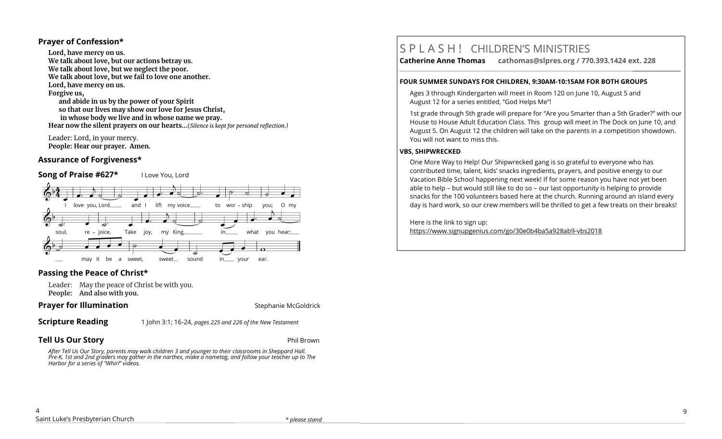### **Prayer of Confession\***

**Lord, have mercy on us. We talk about love, but our actions betray us. We talk about love, but we neglect the poor. We talk about love, but we fail to love one another. Lord, have mercy on us. Forgive us, and abide in us by the power of your Spirit so that our lives may show our love for Jesus Christ, in whose body we live and in whose name we pray. Hear now the silent prayers on our hearts...**(*Silence is kept for personal reflection.)*

Leader: Lord, in your mercy. **People: Hear our prayer. Amen.**

## **Assurance of Forgiveness\***



## **Passing the Peace of Christ\***

Leader: May the peace of Christ be with you. **People: And also with you.** 

## **Prayer for Illumination Stephanie McGoldrick Prayer for Illumination**

**Scripture Reading** 1 John 3:1; 16-24, *pages 225 and 226 of the New Testament* 

## **Tell Us Our Story Phil Brown Phil Brown**

*After Tell Us Our Story, parents may walk children 3 and younger to their classrooms in Sheppard Hall. Pre-K, 1st and 2nd graders may gather in the narthex, make a nametag, and follow your teacher up to The Harbor for a series of "Whirl" videos.*

# S P L A S H ! CHILDREN'S MINISTRIES

**Catherine Anne Thomas cathomas@slpres.org / 770.393.1424 ext. 228** 

**\_\_\_\_\_\_\_\_\_\_\_\_\_\_\_\_\_\_\_\_\_\_\_\_\_\_\_\_\_\_\_\_\_\_\_\_\_\_\_\_\_\_\_\_\_\_\_\_\_\_\_\_\_\_\_\_\_\_\_\_\_\_\_\_\_\_\_\_\_\_\_\_\_\_\_\_\_\_\_\_\_\_\_\_\_\_\_\_\_\_\_\_\_\_\_\_\_\_\_\_\_\_\_\_\_\_** 

#### **FOUR SUMMER SUNDAYS FOR CHILDREN, 9:30AM-10:15AM FOR BOTH GROUPS**

Ages 3 through Kindergarten will meet in Room 120 on June 10, August 5 and August 12 for a series entitled, "God Helps Me"!

1st grade through 5th grade will prepare for "Are you Smarter than a 5th Grader?" with our House to House Adult Education Class. This group will meet in The Dock on June 10, and August 5. On August 12 the children will take on the parents in a competition showdown. You will not want to miss this.

#### **VBS, SHIPWRECKED**

One More Way to Help! Our Shipwrecked gang is so grateful to everyone who has contributed time, talent, kids' snacks ingredients, prayers, and positive energy to our Vacation Bible School happening next week! If for some reason you have not yet been able to help – but would still like to do so – our last opportunity is helping to provide snacks for the 100 volunteers based here at the church. Running around an island every day is hard work, so our crew members will be thrilled to get a few treats on their breaks!

Here is the link to sign up:

https://www.signupgenius.com/go/30e0b4ba5a928ab9-vbs2018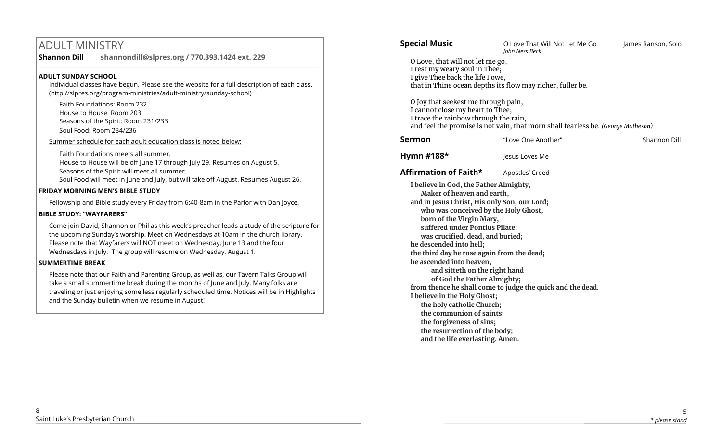# ADULT MINISTRY

**Shannon Dill shannondill@slpres.org / 770.393.1424 ext. 229**   $\_$  ,  $\_$  ,  $\_$  ,  $\_$  ,  $\_$  ,  $\_$  ,  $\_$  ,  $\_$  ,  $\_$  ,  $\_$  ,  $\_$  ,  $\_$  ,  $\_$  ,  $\_$  ,  $\_$  ,  $\_$  ,  $\_$  ,  $\_$  ,  $\_$ 

## **ADULT SUNDAY SCHOOL**

Individual classes have begun. Please see the website for a full description of each class. (http://slpres.org/program-ministries/adult-ministry/sunday-school)

Faith Foundations: Room 232 House to House: Room 203 Seasons of the Spirit: Room 231/233 Soul Food: Room 234/236

Summer schedule for each adult education class is noted below:

Faith Foundations meets all summer. House to House will be off June 17 through July 29. Resumes on August 5. Seasons of the Spirit will meet all summer. Soul Food will meet in June and July, but will take off August. Resumes August 26.

### **FRIDAY MORNING MEN'S BIBLE STUDY**

Fellowship and Bible study every Friday from 6:40-8am in the Parlor with Dan Joyce.

### **BIBLE STUDY: "WAYFARERS"**

Come join David, Shannon or Phil as this week's preacher leads a study of the scripture for the upcoming Sunday's worship. Meet on Wednesdays at 10am in the church library. Please note that Wayfarers will NOT meet on Wednesday, June 13 and the four Wednesdays in July. The group will resume on Wednesday, August 1.

## **SUMMERTIME BREAK**

Please note that our Faith and Parenting Group, as well as, our Tavern Talks Group will take a small summertime break during the months of June and July. Many folks are traveling or just enjoying some less regularly scheduled time. Notices will be in Highlights and the Sunday bulletin when we resume in August!

| <b>Special Music</b>                                                                                                                                                                                                                                                                                                                                                                                                                                                                                                                                                                      | O Love That Will Not Let Me Go<br>John Ness Beck                                 | James Ranson, Solo |
|-------------------------------------------------------------------------------------------------------------------------------------------------------------------------------------------------------------------------------------------------------------------------------------------------------------------------------------------------------------------------------------------------------------------------------------------------------------------------------------------------------------------------------------------------------------------------------------------|----------------------------------------------------------------------------------|--------------------|
| O Love, that will not let me go,<br>I rest my weary soul in Thee;<br>I give Thee back the life I owe,                                                                                                                                                                                                                                                                                                                                                                                                                                                                                     | that in Thine ocean depths its flow may richer, fuller be.                       |                    |
| O Joy that seekest me through pain,<br>I cannot close my heart to Thee;<br>I trace the rainbow through the rain,                                                                                                                                                                                                                                                                                                                                                                                                                                                                          | and feel the promise is not vain, that morn shall tearless be. (George Matheson) |                    |
| <b>Sermon</b>                                                                                                                                                                                                                                                                                                                                                                                                                                                                                                                                                                             | "Love One Another"                                                               | Shannon Dill       |
| Hymn #188*                                                                                                                                                                                                                                                                                                                                                                                                                                                                                                                                                                                | Jesus Loves Me                                                                   |                    |
| Affirmation of Faith*                                                                                                                                                                                                                                                                                                                                                                                                                                                                                                                                                                     | Apostles' Creed                                                                  |                    |
| I believe in God, the Father Almighty,<br>Maker of heaven and earth,<br>and in Jesus Christ, His only Son, our Lord;<br>who was conceived by the Holy Ghost,<br>born of the Virgin Mary,<br>suffered under Pontius Pilate;<br>was crucified, dead, and buried;<br>he descended into hell;<br>the third day he rose again from the dead;<br>he ascended into heaven,<br>and sitteth on the right hand<br>of God the Father Almighty;<br>I believe in the Holy Ghost;<br>the holy catholic Church;<br>the communion of saints;<br>the forgiveness of sins;<br>the resurrection of the body; | from thence he shall come to judge the quick and the dead.                       |                    |
| and the life everlasting. Amen.                                                                                                                                                                                                                                                                                                                                                                                                                                                                                                                                                           |                                                                                  |                    |